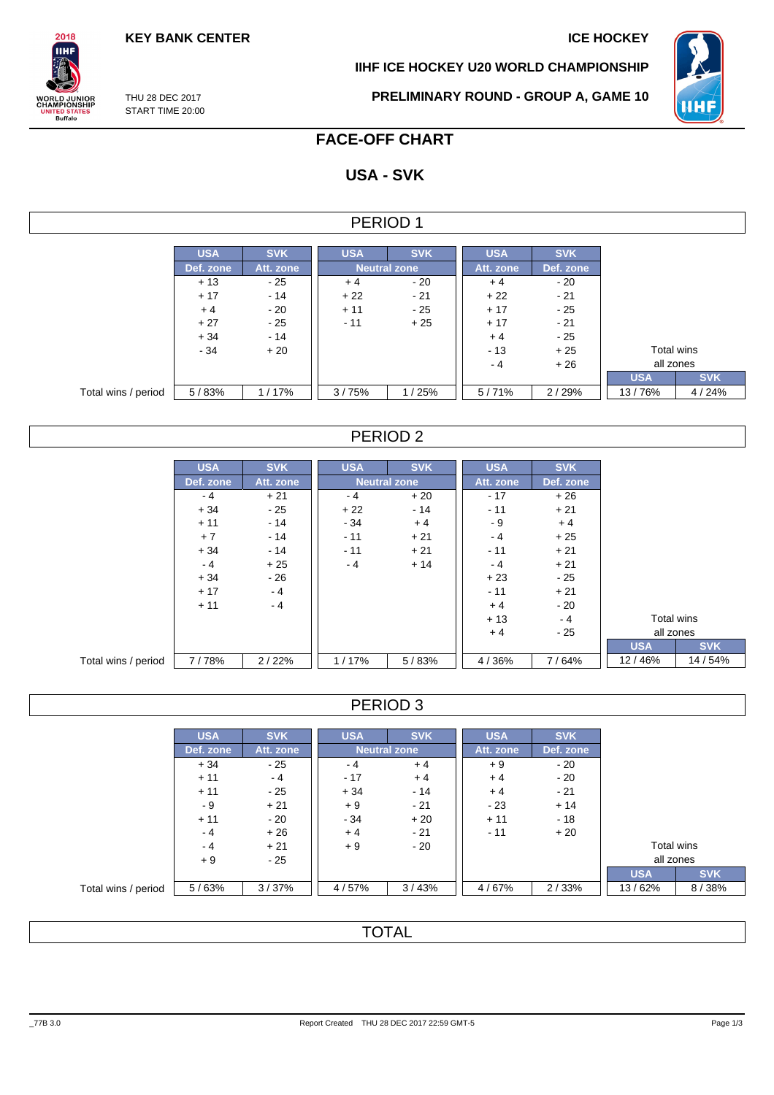**KEY BANK CENTER ICE HOCKEY** 

**IIHF ICE HOCKEY U20 WORLD CHAMPIONSHIP**



THU 28 DEC 2017 START TIME 20:00

 $2018$ **IIHF** 

**ORLD JUNIOR**<br>HAMPIONSHIP

**ITED STATES** 

**PRELIMINARY ROUND - GROUP A, GAME 10**

# **FACE-OFF CHART**

# **USA - SVK**

### PERIOD 1

|                     | <b>USA</b> | <b>SVK</b> | <b>USA</b>   | <b>SVK</b>   | <b>USA</b> | <b>SVK</b> |            |            |
|---------------------|------------|------------|--------------|--------------|------------|------------|------------|------------|
|                     | Def. zone  | Att. zone  |              | Neutral zone |            | Def. zone  |            |            |
|                     | $+13$      | - 25       | - 20<br>$+4$ |              | $+4$       | $-20$      |            |            |
|                     | $+17$      | $-14$      | $+22$        | $-21$        | $+22$      | $-21$      |            |            |
|                     | $+4$       | - 20       | $+11$        | - 25         | $+17$      | - 25       |            |            |
|                     | $+27$      | $-25$      | $-11$        | $+25$        | $+17$      | $-21$      |            |            |
|                     | $+34$      | $-14$      |              |              | $+4$       | - 25       |            |            |
|                     | $-34$      | $+20$      |              |              | $-13$      | $+25$      | Total wins |            |
|                     |            |            |              |              | - 4        | $+26$      | all zones  |            |
|                     |            |            |              |              |            |            | <b>USA</b> | <b>SVK</b> |
| Total wins / period | 5/83%      | 1/17%      | 3/75%        | 1/25%        | 5/71%      | 2/29%      | 13/76%     | 4/24%      |

### PERIOD 2

|                     | <b>USA</b> | <b>SVK</b> | <b>USA</b> | <b>SVK</b>          | <b>USA</b> | <b>SVK</b> |            |            |
|---------------------|------------|------------|------------|---------------------|------------|------------|------------|------------|
|                     | Def. zone  | Att. zone  |            | <b>Neutral zone</b> | Att. zone  | Def. zone  |            |            |
|                     | $-4$       | $+21$      | - 4        | $+20$               | $-17$      | $+26$      |            |            |
|                     | $+34$      | $-25$      | $+22$      | $-14$               | $-11$      | $+21$      |            |            |
|                     | $+11$      | $-14$      | $-34$      | $+4$                | - 9        | $+4$       |            |            |
|                     | $+7$       | $-14$      | $-11$      | $+21$               | $-4$       | $+25$      |            |            |
|                     | $+34$      | $-14$      | $-11$      | $+21$               | $-11$      | $+21$      |            |            |
|                     | $-4$       | $+25$      | $-4$       | $+14$               | $-4$       | $+21$      |            |            |
|                     | $+34$      | $-26$      |            |                     | $+23$      | $-25$      |            |            |
|                     | $+17$      | $-4$       |            |                     | $-11$      | $+21$      |            |            |
|                     | $+11$      | $-4$       |            |                     | $+4$       | $-20$      |            |            |
|                     |            |            |            |                     | $+13$      | $-4$       | Total wins |            |
|                     |            |            |            |                     | $+4$       | $-25$      | all zones  |            |
|                     |            |            |            |                     |            |            | <b>USA</b> | <b>SVK</b> |
| Total wins / period | 7/78%      | 2/22%      | 1/17%      | 5/83%               | 4/36%      | 7/64%      | 12/46%     | 14 / 54%   |

### PERIOD 3

|                     | <b>USA</b> | <b>SVK</b> | <b>USA</b>          | <b>SVK</b> | <b>USA</b> | <b>SVK</b> |            |            |
|---------------------|------------|------------|---------------------|------------|------------|------------|------------|------------|
|                     | Def. zone  | Att. zone  | <b>Neutral zone</b> |            | Att. zone  | Def. zone  |            |            |
|                     | $+34$      | - 25       | - 4                 | $+4$       | $+9$       | $-20$      |            |            |
|                     | $+11$      | - 4        | $-17$               | $+4$       | $+4$       | - 20       |            |            |
|                     | $+11$      | - 25       | $+34$               | $-14$      | $+4$       | $-21$      |            |            |
|                     | - 9        | $+21$      | $+9$                | - 21       | $-23$      | $+14$      |            |            |
|                     | $+11$      | - 20       | $-34$               | $+20$      | $+11$      | $-18$      |            |            |
|                     | - 4        | $+26$      | $+4$                | $-21$      | $-11$      | $+20$      |            |            |
|                     | $-4$       | $+21$      | $+9$                | - 20       |            |            | Total wins |            |
|                     | $+9$       | - 25       |                     |            |            |            | all zones  |            |
|                     |            |            |                     |            |            |            | <b>USA</b> | <b>SVK</b> |
| Total wins / period | 5/63%      | 3/37%      | 4/57%               | 3/43%      | 4/67%      | 2/33%      | 13/62%     | 8/38%      |

# **TOTAL**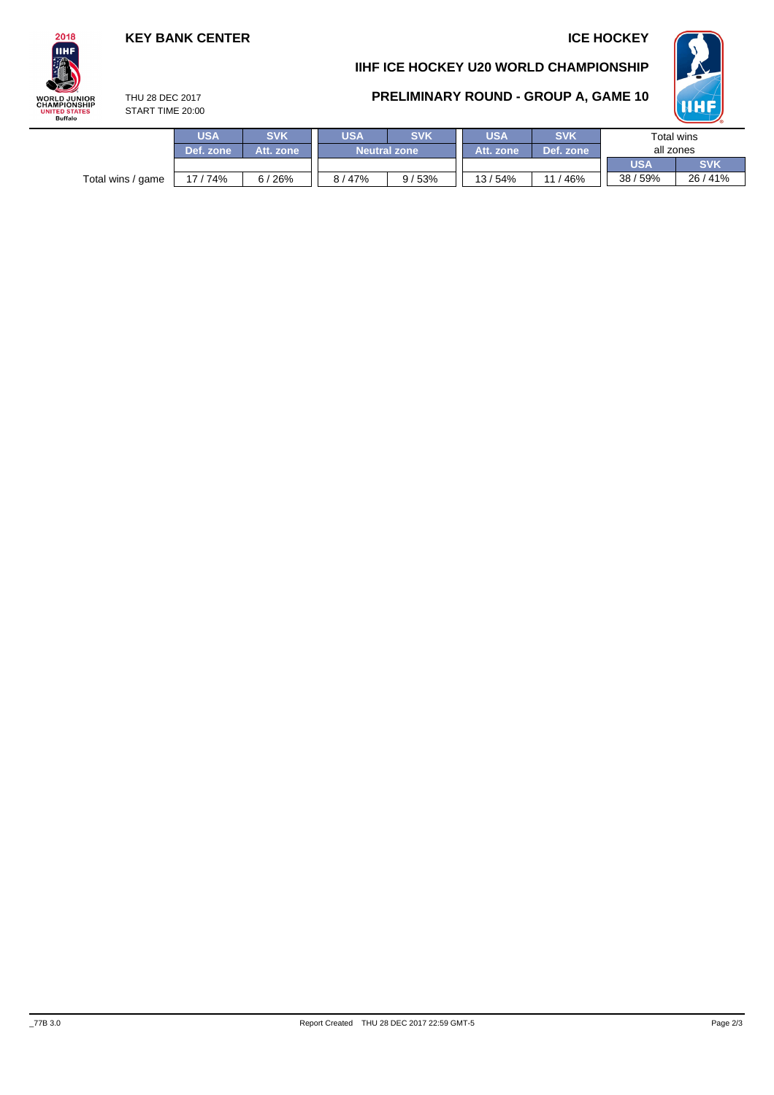### **KEY BANK CENTER ICE HOCKEY**

**HHI** 

## $2018$ **IIHF ORLD JUNIOR**<br>HAMPIONSHIP TATES NITED STA<br>Buffalo

# **IIHF ICE HOCKEY U20 WORLD CHAMPIONSHIP**



THU 28 DEC 2017 START TIME 20:00

|                   | USA<br>Def. zone | <b>SVK</b><br>Att. zone | <b>SVK</b><br>USA<br><b>Neutral zone</b> |       | <b>USA</b><br>Att. zone | <b>SVK</b><br>Def. zone | Total wins<br>all zones |            |
|-------------------|------------------|-------------------------|------------------------------------------|-------|-------------------------|-------------------------|-------------------------|------------|
|                   |                  |                         |                                          |       |                         |                         | <b>USA</b>              | <b>SVK</b> |
| Total wins / game | 74%              | 6/26%                   | 8/47%                                    | 9/53% | 13/54%                  | /46%<br>$-11$           | 38/59%                  | 26/41%     |
|                   |                  |                         |                                          |       |                         |                         |                         |            |